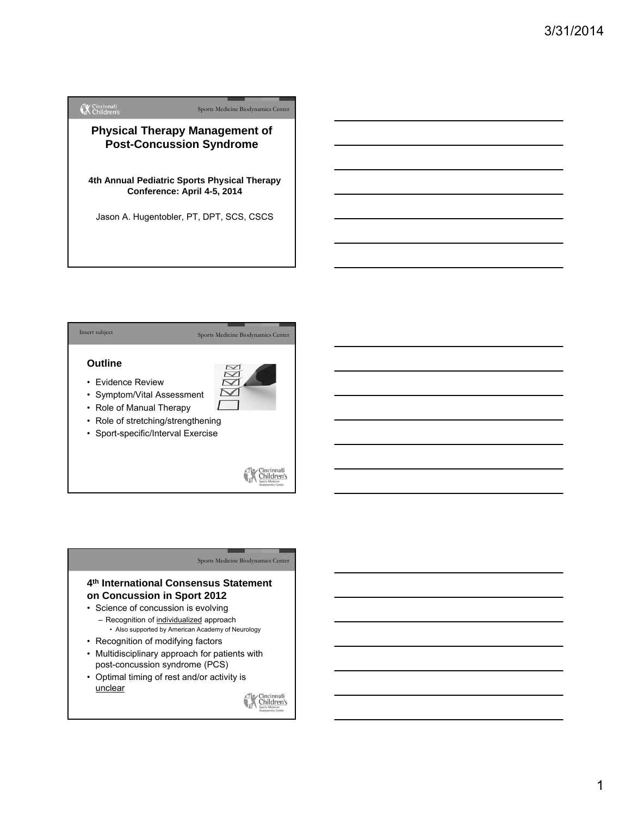



# **4th International Consensus Statement on Concussion in Sport 2012**

- Science of concussion is evolving – Recognition of individualized approach
	- Also supported by American Academy of Neurology
- Recognition of modifying factors
- Multidisciplinary approach for patients with post-concussion syndrome (PCS)
- Optimal timing of rest and/or activity is unclear

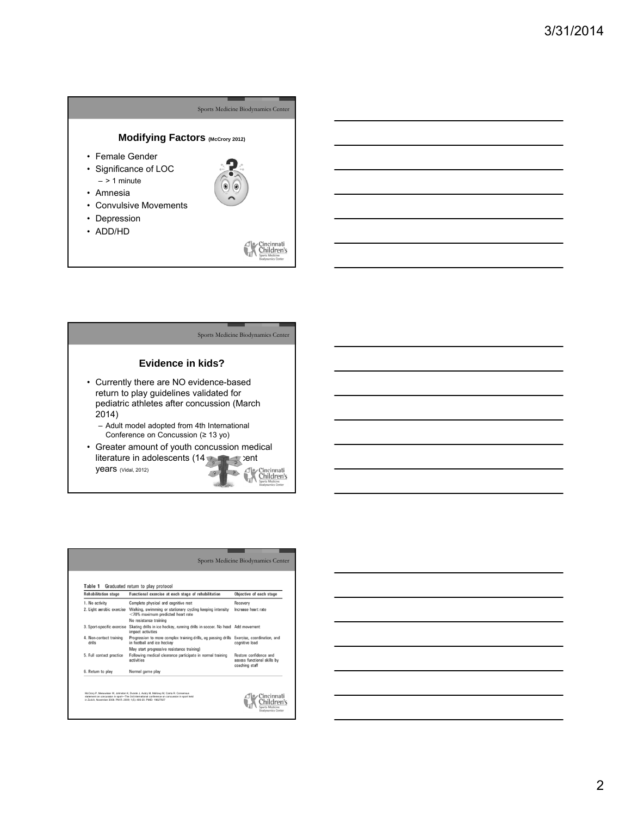



| <b>Rehabilitation stage</b>       | Graduated return to play protocol<br>Functional exercise at each stage of rehabilitation          | Objective of each stage                                                        |  |  |
|-----------------------------------|---------------------------------------------------------------------------------------------------|--------------------------------------------------------------------------------|--|--|
| 1. No activity                    | Complete physical and cognitive rest                                                              |                                                                                |  |  |
| 2. Light aerobic exercise         | Walking, swimming or stationary cycling keeping intensity<br><70% maximum predicted heart rate    | Increase heart rate                                                            |  |  |
|                                   | No resistance training                                                                            |                                                                                |  |  |
| 3. Sport-specific exercise        | Skating drills in ice hockey, running drills in soccer. No head Add movement<br>impact activities |                                                                                |  |  |
| 4. Non-contact training<br>drills | Progression to more complex training drills, eg passing drills<br>in football and ice hockey      | Exercise, coordination, and<br>cognitive load                                  |  |  |
|                                   | May start progressive resistance training)                                                        |                                                                                |  |  |
| 5. Full contact practice          | Following medical clearance participate in normal training<br>activities                          | <b>Bestore confidence and</b><br>assess functional skills by<br>coaching staff |  |  |
| 6. Return to play                 | Normal game play                                                                                  |                                                                                |  |  |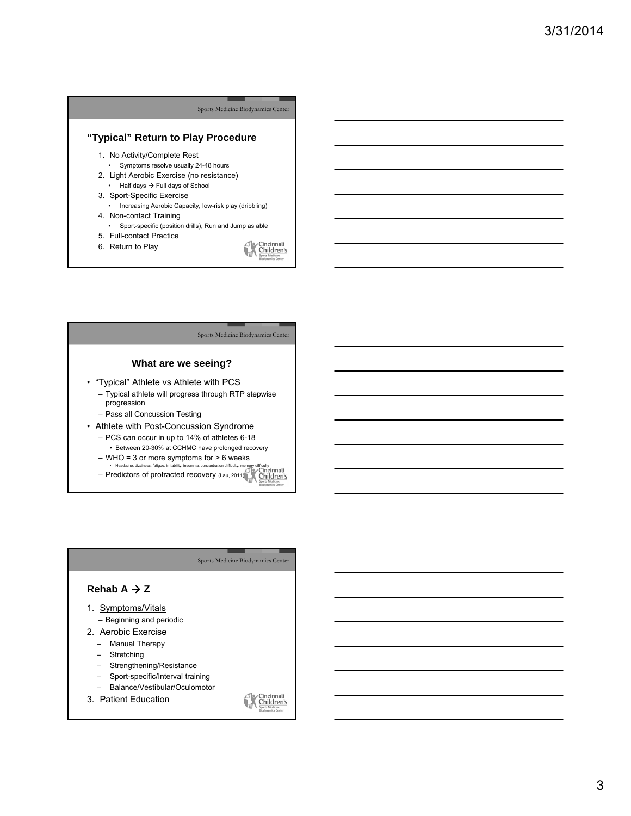# **"Typical" Return to Play Procedure**

- 1. No Activity/Complete Rest
- Symptoms resolve usually 24-48 hours
- 2. Light Aerobic Exercise (no resistance) Half days  $\rightarrow$  Full days of School
- 3. Sport-Specific Exercise
	- Increasing Aerobic Capacity, low-risk play (dribbling)
- 4. Non-contact Training
- Sport-specific (position drills), Run and Jump as able 5. Full-contact Practice
- 6. Return to Play

Cincinnati<sub>sports</sub> Medicine

# Sports Medicine Biodynamics Center **What are we seeing?** • "Typical" Athlete vs Athlete with PCS – Typical athlete will progress through RTP stepwise progression

- Pass all Concussion Testing
- Athlete with Post-Concussion Syndrome – PCS can occur in up to 14% of athletes 6-18
	- Between 20-30% at CCHMC have prolonged recovery
	- WHO = 3 or more symptoms for > 6 weeks
	- Headache, dizziness, fatigue, irritability, insomnia, concentration difficulty, memory difficulty<br>— Predictors of protracted recovery (Lau, 2011)



3. Patient Education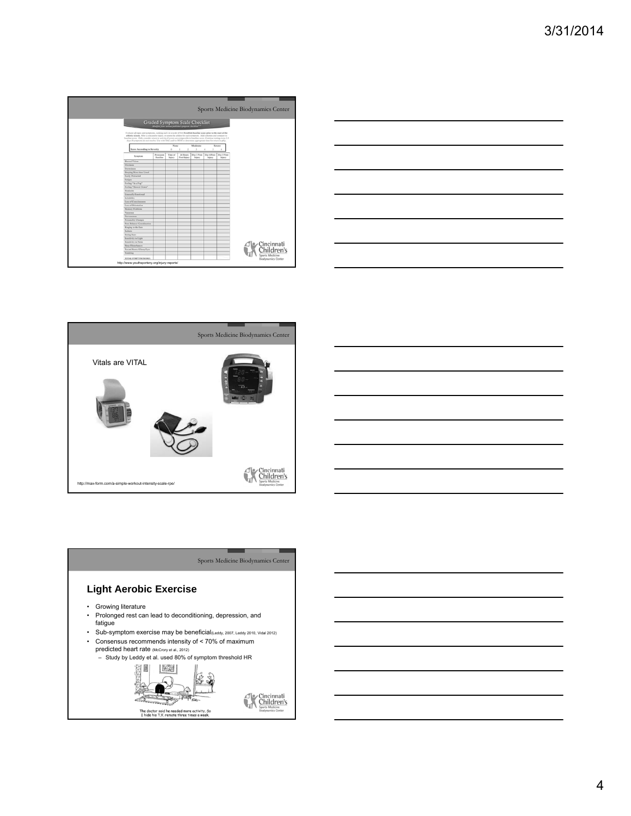|                                                                                                                                                                                                                                                                                                                                                                                                                                                                                 |                              |                   |                                                                  |                       |                       |                       | Sports Medicine Biodynamics Center |
|---------------------------------------------------------------------------------------------------------------------------------------------------------------------------------------------------------------------------------------------------------------------------------------------------------------------------------------------------------------------------------------------------------------------------------------------------------------------------------|------------------------------|-------------------|------------------------------------------------------------------|-----------------------|-----------------------|-----------------------|------------------------------------|
|                                                                                                                                                                                                                                                                                                                                                                                                                                                                                 |                              |                   | Graded Symptom Scale Checklist                                   |                       |                       |                       |                                    |
|                                                                                                                                                                                                                                                                                                                                                                                                                                                                                 |                              |                   | Modified from various published symptom checklists <sup>21</sup> |                       |                       |                       |                                    |
| Evaluate all signs and symptoms, ranking each on a scale of 0-6. Establish baseline score prior to the start of the<br>athletic season. After a concussive itiser, re-assess the athlete for each symptom. Add columns and compare to<br>baseline score. Only consider return to activity if scores are comparable to baseline score. Continue testing every 2-3<br>days if symptoms do not resolve. Use with SAC and/or BESS to determine appropriate time for return to play. |                              |                   |                                                                  |                       |                       |                       |                                    |
|                                                                                                                                                                                                                                                                                                                                                                                                                                                                                 |                              | None              |                                                                  | Moderate              |                       | Severe                |                                    |
| Score According to Severity                                                                                                                                                                                                                                                                                                                                                                                                                                                     |                              | ×                 | $\gamma$                                                         | $\lambda$             |                       |                       |                                    |
| Symptom                                                                                                                                                                                                                                                                                                                                                                                                                                                                         | Preseason<br><b>Baseline</b> | Time of<br>Inlery | 24 Hours<br>Post-Inland                                          | Day 3 Post-<br>Inlury | Day 4 Post-<br>Inlers | Day 5 Post-<br>Injury |                                    |
| <b>Elurred Vision</b>                                                                                                                                                                                                                                                                                                                                                                                                                                                           |                              |                   |                                                                  |                       |                       |                       |                                    |
| Dirisineus                                                                                                                                                                                                                                                                                                                                                                                                                                                                      |                              |                   |                                                                  |                       |                       |                       |                                    |
| Doowslaves                                                                                                                                                                                                                                                                                                                                                                                                                                                                      |                              |                   |                                                                  |                       |                       |                       |                                    |
| Sleeping More than Usual                                                                                                                                                                                                                                                                                                                                                                                                                                                        |                              |                   |                                                                  |                       |                       |                       |                                    |
| Easily Distracted                                                                                                                                                                                                                                                                                                                                                                                                                                                               |                              |                   |                                                                  |                       |                       |                       |                                    |
| Futigue                                                                                                                                                                                                                                                                                                                                                                                                                                                                         |                              |                   |                                                                  |                       |                       |                       |                                    |
| Feeling "In a Fog"                                                                                                                                                                                                                                                                                                                                                                                                                                                              |                              |                   |                                                                  |                       |                       |                       |                                    |
| Feeling "Slowed Down"                                                                                                                                                                                                                                                                                                                                                                                                                                                           |                              |                   |                                                                  |                       |                       |                       |                                    |
| Headache                                                                                                                                                                                                                                                                                                                                                                                                                                                                        |                              |                   |                                                                  |                       |                       |                       |                                    |
| Unusually Emotional                                                                                                                                                                                                                                                                                                                                                                                                                                                             |                              |                   |                                                                  |                       |                       |                       |                                    |
| Initability                                                                                                                                                                                                                                                                                                                                                                                                                                                                     |                              |                   |                                                                  |                       |                       |                       |                                    |
| Loss of Consciousness                                                                                                                                                                                                                                                                                                                                                                                                                                                           |                              |                   |                                                                  |                       |                       |                       |                                    |
| Loss of Orientation                                                                                                                                                                                                                                                                                                                                                                                                                                                             |                              |                   |                                                                  |                       |                       |                       |                                    |
| Memory Problems                                                                                                                                                                                                                                                                                                                                                                                                                                                                 |                              |                   |                                                                  |                       |                       |                       |                                    |
| Nausous                                                                                                                                                                                                                                                                                                                                                                                                                                                                         |                              |                   |                                                                  |                       |                       |                       |                                    |
| Nervousness                                                                                                                                                                                                                                                                                                                                                                                                                                                                     |                              |                   |                                                                  |                       |                       |                       |                                    |
| Personality Changes                                                                                                                                                                                                                                                                                                                                                                                                                                                             |                              |                   |                                                                  |                       |                       |                       |                                    |
| Poor Balance/Coordination                                                                                                                                                                                                                                                                                                                                                                                                                                                       |                              |                   |                                                                  |                       |                       |                       |                                    |
| Ringing in the Ears                                                                                                                                                                                                                                                                                                                                                                                                                                                             |                              |                   |                                                                  |                       |                       |                       |                                    |
| Sadness                                                                                                                                                                                                                                                                                                                                                                                                                                                                         |                              |                   |                                                                  |                       |                       |                       |                                    |
| <b>Seeing Stars</b>                                                                                                                                                                                                                                                                                                                                                                                                                                                             |                              |                   |                                                                  |                       |                       |                       |                                    |
| Sensitivity to Light                                                                                                                                                                                                                                                                                                                                                                                                                                                            |                              |                   |                                                                  |                       |                       |                       |                                    |
| Sensitivity to Noise                                                                                                                                                                                                                                                                                                                                                                                                                                                            |                              |                   |                                                                  |                       |                       |                       | Cincinnati                         |
| Slore Disturbances                                                                                                                                                                                                                                                                                                                                                                                                                                                              |                              |                   |                                                                  |                       |                       |                       |                                    |
| Vacant Stares/Glassy Eyes                                                                                                                                                                                                                                                                                                                                                                                                                                                       |                              |                   |                                                                  |                       |                       |                       | Children's                         |
| <b>Vemiting</b>                                                                                                                                                                                                                                                                                                                                                                                                                                                                 |                              |                   |                                                                  |                       |                       |                       | Sports Medicine                    |
| TOTAL SYMPTOM SCORE:                                                                                                                                                                                                                                                                                                                                                                                                                                                            |                              |                   |                                                                  |                       |                       |                       | <b>Biodynamics Center</b>          |
| http://www.youthsportsny.org/injury-reports/                                                                                                                                                                                                                                                                                                                                                                                                                                    |                              |                   |                                                                  |                       |                       |                       |                                    |







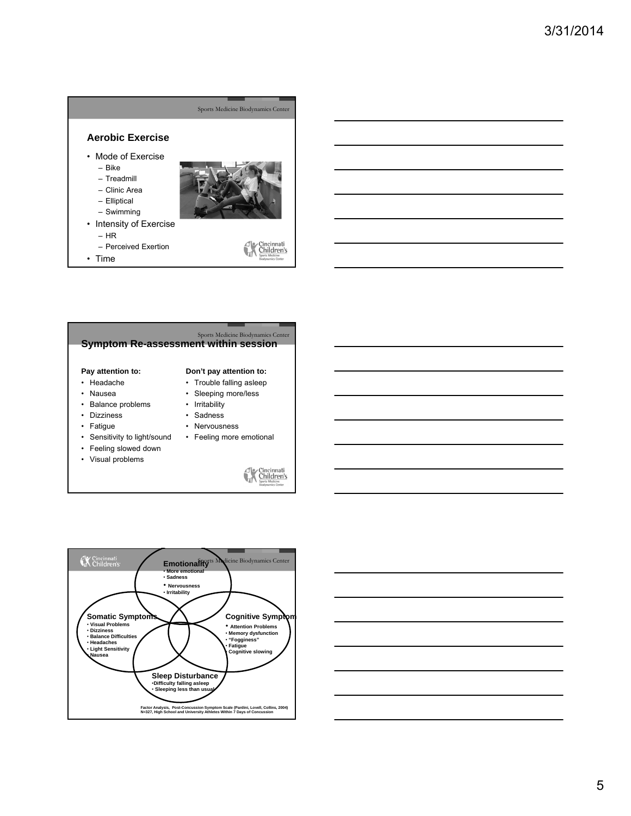# Sports Medicine Biodynamics Center **Aerobic Exercise** • Mode of Exercise – Bike – Treadmill – Clinic Area – Elliptical – Swimming

- Intensity of Exercise – HR
	- Perceived Exertion
- Time
- 

Cincinnati

# Sports Medicine Biodynamics Center<br>**Symptom Re-assessment within session**

#### **Pay attention to:**

- Headache
- Nausea
- Trouble falling asleep • Sleeping more/less

• Irritability • Sadness • Nervousness

**Don't pay attention to:**

• Feeling more emotional

- Balance problems
- Dizziness
- Fatigue
- Sensitivity to light/sound
- Feeling slowed down
- Visual problems





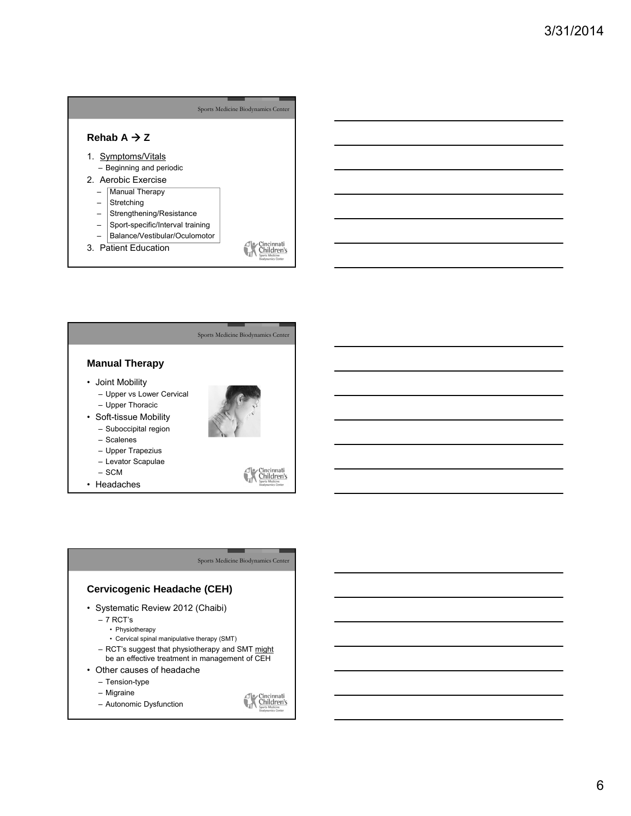|                                                 | Sports Medicine Biodynamics Center |
|-------------------------------------------------|------------------------------------|
| Rehab A $\rightarrow$ Z                         |                                    |
| 1. Symptoms/Vitals                              |                                    |
| - Beginning and periodic<br>2. Aerobic Exercise |                                    |
| Manual Therapy                                  |                                    |
| Stretching                                      |                                    |
| Strengthening/Resistance                        |                                    |
| Sport-specific/Interval training                |                                    |
| Balance/Vestibular/Oculomotor                   |                                    |
| 3. Patient Education                            |                                    |



• Headaches

# Sports Medicine Biodynamics Center

# **Cervicogenic Headache (CEH)**

- Systematic Review 2012 (Chaibi)
	- 7 RCT's
		- Physiotherapy
		- Cervical spinal manipulative therapy (SMT)
	- RCT's suggest that physiotherapy and SMT might be an effective treatment in management of CEH
- Other causes of headache
	- Tension-type
	- Migraine
	- Autonomic Dysfunction

Cincinnati<br>Children's  $\frac{d}{d\lambda}$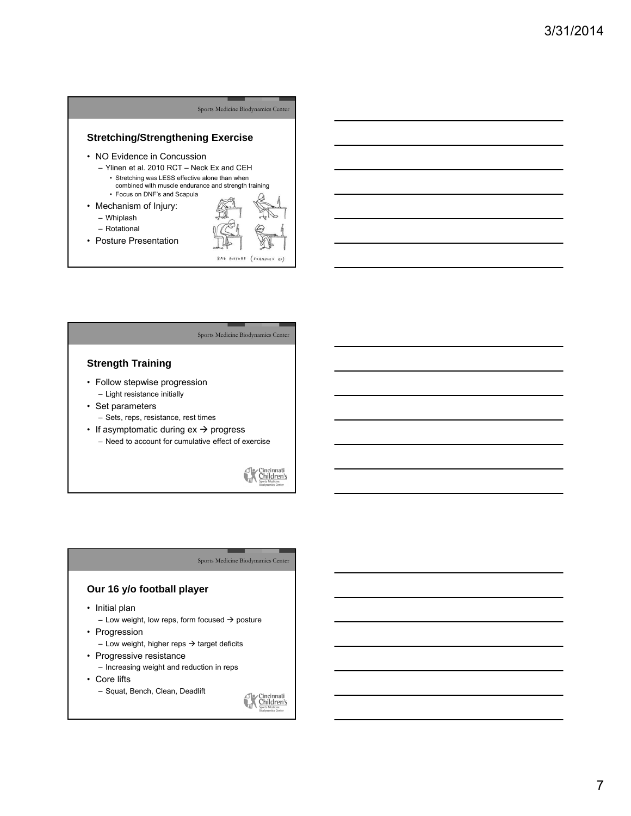



Cincinnati<sub>sports</sub> Medicine

#### Sports Medicine Biodynamics Center

# **Our 16 y/o football player**

• Initial plan

– Low weight, low reps, form focused  $\rightarrow$  posture

• Progression

– Low weight, higher reps  $\rightarrow$  target deficits

- Progressive resistance – Increasing weight and reduction in reps
	-
- Core lifts
	- Squat, Bench, Clean, Deadlift

Cincinnati<br>Children's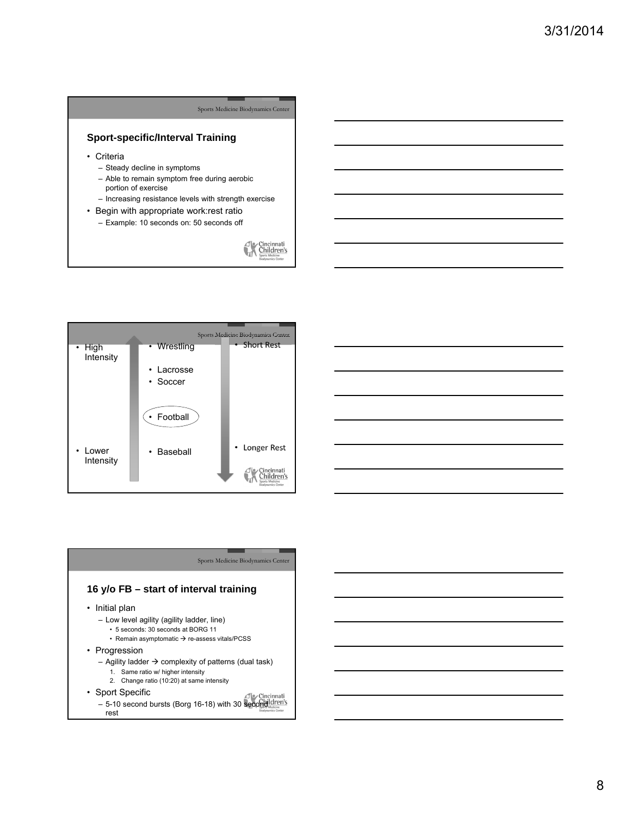# **Sport-specific/Interval Training**

- Criteria
	- Steady decline in symptoms
	- Able to remain symptom free during aerobic portion of exercise
	- Increasing resistance levels with strength exercise
- Begin with appropriate work:rest ratio
	- Example: 10 seconds on: 50 seconds off

 $\begin{array}{c}\n\begin{array}{c}\n\hline\n\end{array}\n\end{array}\n\begin{array}{c}\n\hline\n\end{array}\n\begin{array}{c}\n\hline\n\end{array}\n\end{array}\n\begin{array}{c}\n\hline\n\end{array}\n\begin{array}{c}\n\hline\n\end{array}\n\end{array}\n\begin{array}{c}\n\hline\n\end{array}\n\end{array}\n\begin{array}{c}\n\hline\n\end{array}\n\end{array}$ 

Sports Medicine Biodynamics Center



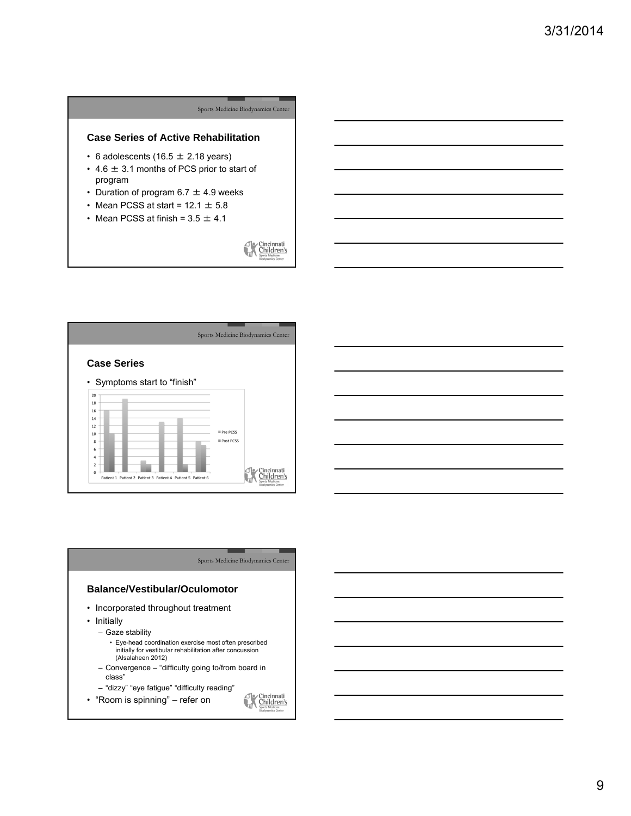# Sports Medicine Biodynamics Center **Case Series of Active Rehabilitation** • 6 adolescents (16.5  $\pm$  2.18 years)  $\cdot$  4.6  $\pm$  3.1 months of PCS prior to start of program • Duration of program  $6.7 \pm 4.9$  weeks • Mean PCSS at start =  $12.1 \pm 5.8$ • Mean PCSS at finish =  $3.5 \pm 4.1$  $\begin{array}{c}\n\begin{array}{c}\n\hline\n\end{array}\n\end{array}\n\begin{array}{c}\n\hline\n\end{array}\n\begin{array}{c}\n\hline\n\end{array}\n\end{array}\n\begin{array}{c}\n\hline\n\end{array}\n\begin{array}{c}\n\hline\n\end{array}\n\end{array}\n\begin{array}{c}\n\hline\n\end{array}\n\end{array}\n\begin{array}{c}\n\hline\n\end{array}\n\end{array}$



### Sports Medicine Biodynamics Center

# **Balance/Vestibular/Oculomotor**

- Incorporated throughout treatment
- Initially
	- Gaze stability
		- Eye-head coordination exercise most often prescribed initially for vestibular rehabilitation after concussion (Alsalaheen 2012)
	- Convergence "difficulty going to/from board in class"
	- "dizzy" "eye fatigue" "difficulty reading"
- "Room is spinning" refer on
- Cincinnati<br>Children's  $\frac{d}{d\lambda}$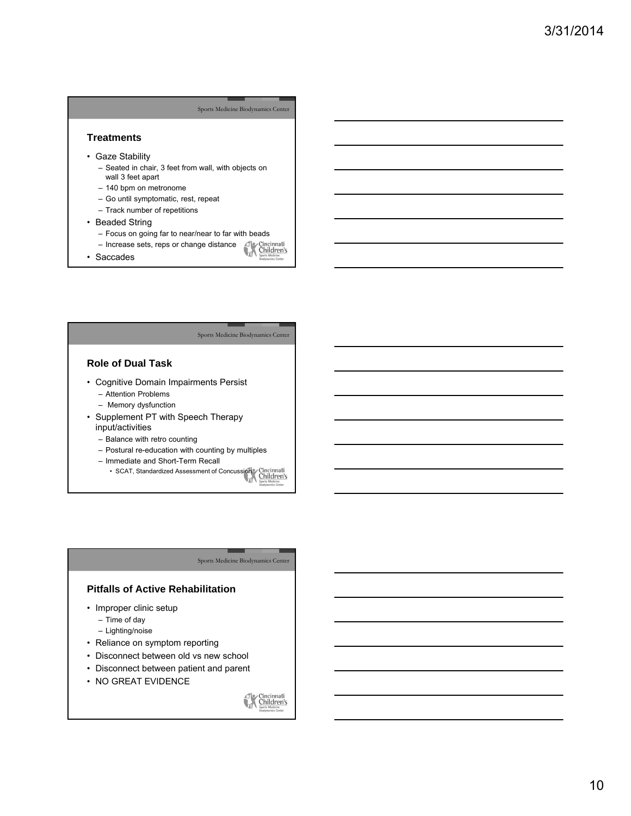### **Treatments**

- Gaze Stability
	- Seated in chair, 3 feet from wall, with objects on wall 3 feet apart
	- 140 bpm on metronome
	- Go until symptomatic, rest, repeat
	- Track number of repetitions
- Beaded String
	- Focus on going far to near/near to far with beads<br>– Increase sets, reps or change distance<br>Saccades
	- Increase sets, reps or change distance
- Saccades

#### Sports Medicine Biodynamics Center

# **Role of Dual Task**

- Cognitive Domain Impairments Persist
	- Attention Problems
	- Memory dysfunction
- Supplement PT with Speech Therapy input/activities
	- Balance with retro counting
	- Postural re-education with counting by multiples
	- Immediate and Short-Term Recall
	- SCAT, Standardized Assessment of Concussion Christmatian Christmas<br>
	Martin Ghridden's

#### Sports Medicine Biodynamics Center

# **Pitfalls of Active Rehabilitation**

- Improper clinic setup
	- Time of day
	- Lighting/noise
- Reliance on symptom reporting
- Disconnect between old vs new school
- Disconnect between patient and parent
- NO GREAT EVIDENCE

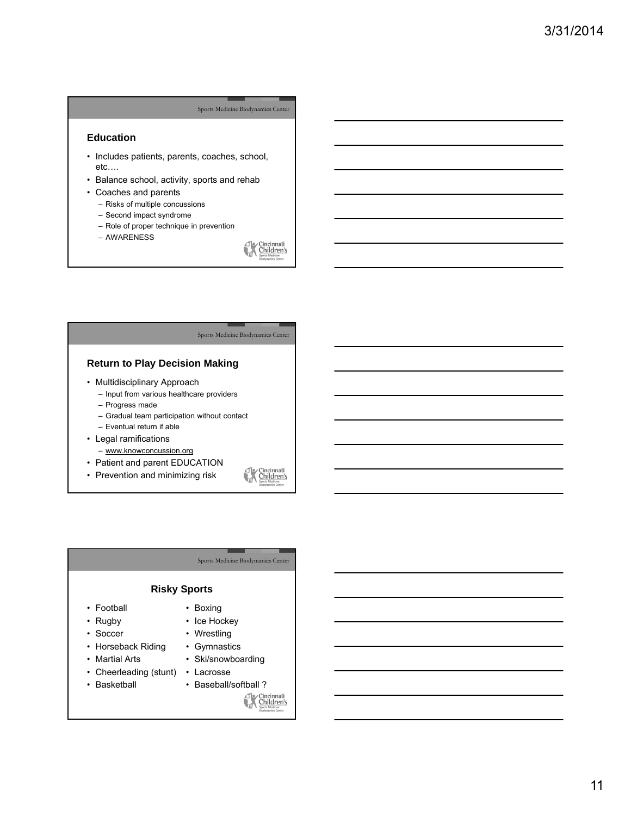## **Education**

- Includes patients, parents, coaches, school, etc….
- Balance school, activity, sports and rehab
- Coaches and parents
	- Risks of multiple concussions
	- Second impact syndrome
	- Role of proper technique in prevention
	- AWARENESS

 $\begin{array}{c}\n\begin{array}{c}\n\hline\n\end{array}\n\end{array}\n\begin{array}{c}\n\hline\n\end{array}\n\begin{array}{c}\n\hline\n\end{array}\n\end{array}\n\begin{array}{c}\n\hline\n\end{array}\n\begin{array}{c}\n\hline\n\end{array}\n\end{array}\n\begin{array}{c}\n\hline\n\end{array}\n\end{array}\n\begin{array}{c}\n\hline\n\end{array}\n\end{array}$ 

#### Sports Medicine Biodynamics Center

# **Return to Play Decision Making**

- Multidisciplinary Approach
	- Input from various healthcare providers
	- Progress made
	- Gradual team participation without contact
	- Eventual return if able
- Legal ramifications
	- www.knowconcussion.org
- Patient and parent EDUCATION
- Prevention and minimizing risk

# Cincinnati

#### Sports Medicine Biodynamics Center

# **Risky Sports**

- Football
- Rugby
- Soccer
- Horseback Riding
- Martial Arts
- Cheerleading (stunt)
- Basketball
- Ski/snowboarding
- Lacrosse

• Boxing • Ice Hockey • Wrestling • Gymnastics

- Baseball/softball ?<br> **Constrained Property Constrained Property** 
	-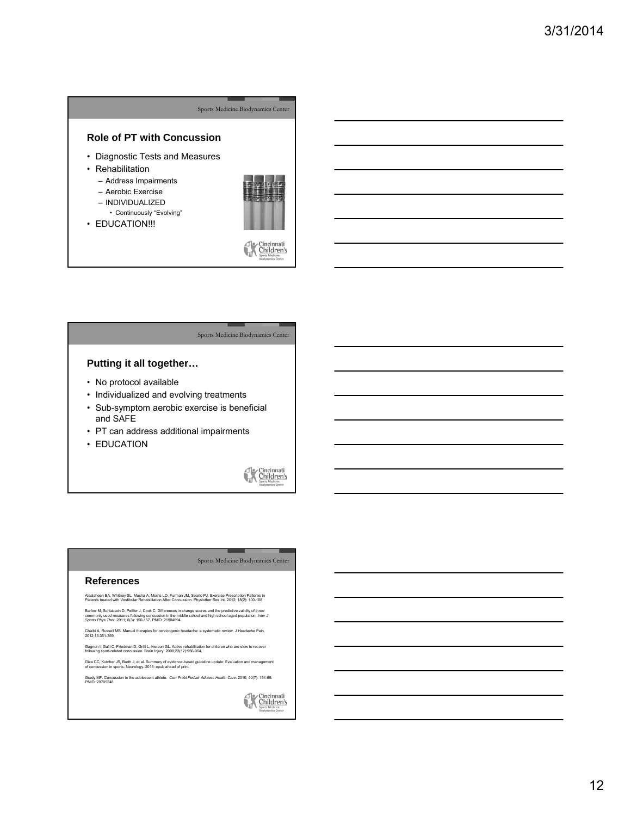## **Role of PT with Concussion**

- Diagnostic Tests and Measures
- Rehabilitation
	- Address Impairments
	- Aerobic Exercise
	- INDIVIDUALIZED
	- Continuously "Evolving"
- EDUCATION !!!



Cincinnati<br>Children's

#### Sports Medicine Biodynamics Center

# **Putting it all together…**

- No protocol available
- Individualized and evolving treatments
- Sub-symptom aerobic exercise is beneficial and SAFE
- PT can address additional impairments
- EDUCATION



#### Sports Medicine Biodynamics Center

#### **References**

Alsalaheen BA, Whitney SL, Mucha A, Morris LO, Furman JM, Sparto PJ. Exercise Prescription Patterns in Patients treated with Vestibular Rehabilitation After Concussion. Physiother Res Int. 2012; 18(2): 100-108

Barlow M, Schlabach D, Peiffer J, Cook C. Differences in change scores and the predictive validity of three<br>commonly used measures following concussion in the middle school and high school aged population. *Inter J*<br>S*port* 

Chaibi A, Russell MB. Manual therapies for cervicogenic headache: a systematic review. J Headache Pain, 2012;13:351-359.

Gagnon I, Galli C, Friedman D, Grilli L, Iverson GL. Active rehabilitation for children who are slow to recover following sport-related concussion. Brain Injury. 2009;23(12):956-964.

Giza CC, Kutcher JS, Barth J, et al. Summary of evidence-based guideline update: Evaluation and management of concussion in sports. Neurology. 2013: epub ahead of print.